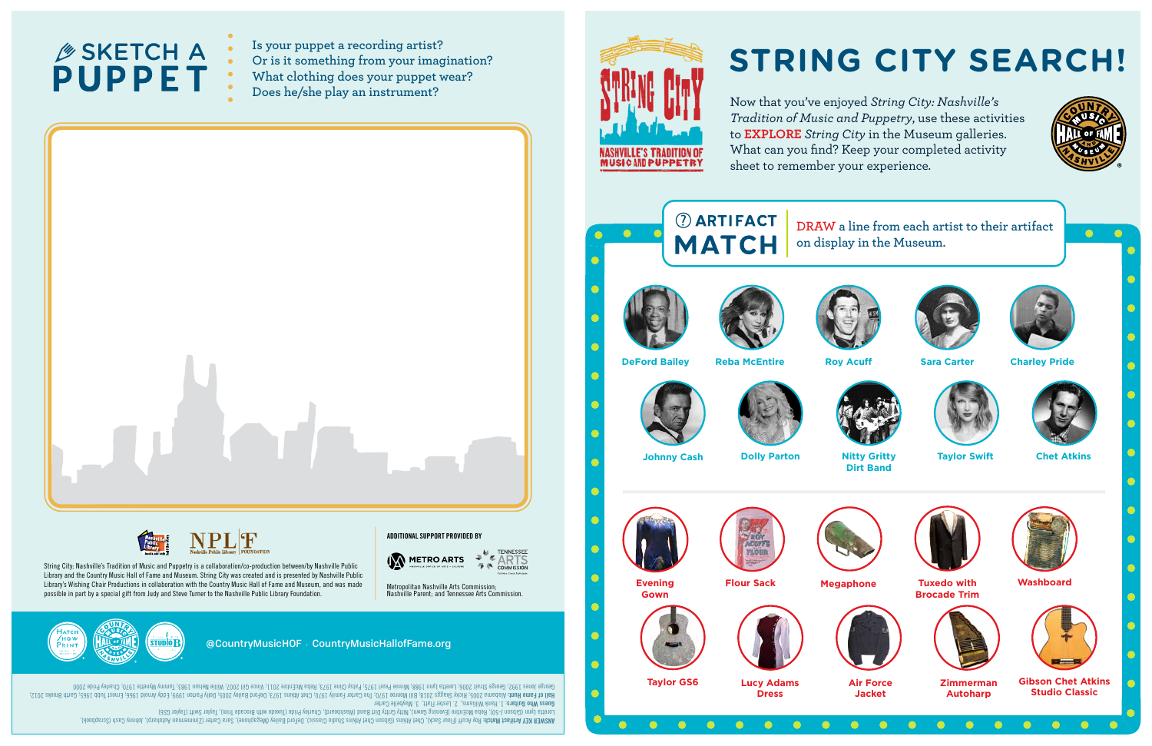**DRAW a line from each artist to their artifact on display in the Museum.**



harp), Johnny Cash (Scrapbook), Roy Acuff (Flour Sack), Chet Atkins (Gibson Chet Atkins Studio Classic), DeFord Bailey (Megaphone), Sara Carter (Zimmerman Auto **Artifact Match: ANSWER KEY** Loretta Lynn (Gibson Band Gritte Gown), Nitty Griend), Chaeddes Charley Pride (Tuxedo with Brocade Trim), Taylor Gden (Machand), Orly Brocade Trim), Taylor Gritto Dirth Brocade Trim, Taylor Gden, Taylor Settim, Washard (Da

## **SKETCH A :<br>PUPPET :**

- **Is your puppet a recording artist?**
- **Or is it something from your imagination?**
- **What clothing does your puppet wear?**
- **Does he/she play an instrument?**





: 1. Hank Williams, 2. Lester Flatt, 3. Maybelle Carter **Guess Who Guitars** 999; Eddy Arnold 1966; Ernest Tubb 1965; Garth Brooks 2012; Alabama 2005; Ricky Skaggs 2018; Bill Monroe 1970; The Carter Family 1970; Chet Atkins 1973; DeFord Bailey 2005; Dolly Parton 1 **Hall of Fame Hunt:**  Goorge Jones Arent 2006; Loretta Lynn 1988; Minnie Strait 2007; Minn 2011; Vince Gill 2010; Villie Matsy Cline Aerl 2007; Tammy Wynette 1970; 1989; CAL 1989; CBEL 2010: Agosb 1989; Tammy Wynette 1970; Charley Pride 2007; I Now that you've enjoyed *String City: Nashville's Tradition of Music and Puppetry*, use these activities to **EXPLORE** *String City* in the Museum galleries. What can you find? Keep your completed activity sheet to remember your experience.



## **STRING CITY SEARCH!**



**Nitty Gritty Dirt Band**











**Zimmerman Autoharp**





**Tuxedo with Brocade Trim**



**Washboard**



**Air Force Jacket**



**Gibson Chet Atkins Studio Classic**

@CountryMusicHOF • CountryMusicHallofFame.org

String City: Nashville's Tradition of Music and Puppetry is a collaboration/co-production between/by Nashville Public Library and the Country Music Hall of Fame and Museum. String City was created and is presented by Nashville Public Library's Wishing Chair Productions in collaboration with the Country Music Hall of Fame and Museum, and was made possible in part by a special gift from Judy and Steve Turner to the Nashville Public Library Foundation.

Metropolitan Nashville Arts Commission; Nashville Parent; and Tennessee Arts Commission.





**ADDITIONAL SUPPORT PROVIDED BY**